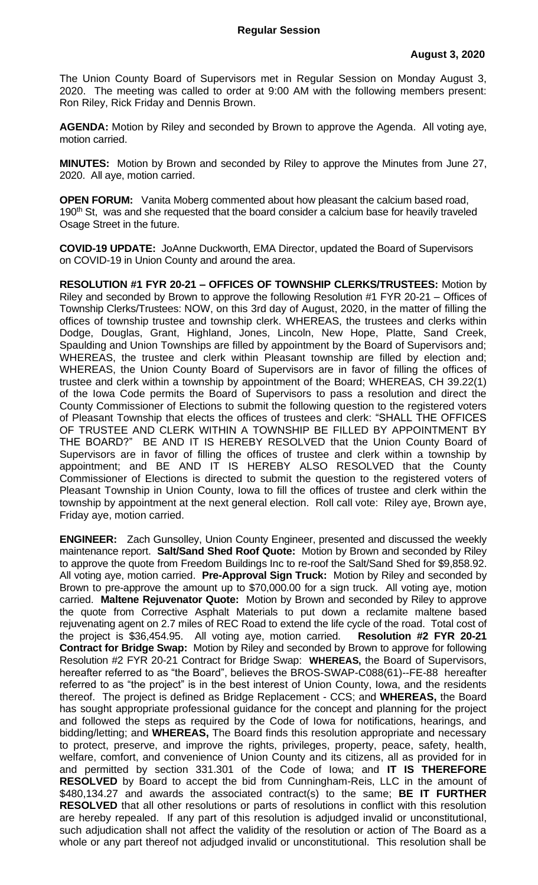The Union County Board of Supervisors met in Regular Session on Monday August 3, 2020. The meeting was called to order at 9:00 AM with the following members present: Ron Riley, Rick Friday and Dennis Brown.

**AGENDA:** Motion by Riley and seconded by Brown to approve the Agenda. All voting aye, motion carried.

**MINUTES:** Motion by Brown and seconded by Riley to approve the Minutes from June 27, 2020. All aye, motion carried.

**OPEN FORUM:** Vanita Moberg commented about how pleasant the calcium based road, 190<sup>th</sup> St, was and she requested that the board consider a calcium base for heavily traveled Osage Street in the future.

**COVID-19 UPDATE:** JoAnne Duckworth, EMA Director, updated the Board of Supervisors on COVID-19 in Union County and around the area.

**RESOLUTION #1 FYR 20-21 – OFFICES OF TOWNSHIP CLERKS/TRUSTEES:** Motion by Riley and seconded by Brown to approve the following Resolution #1 FYR 20-21 – Offices of Township Clerks/Trustees: NOW, on this 3rd day of August, 2020, in the matter of filling the offices of township trustee and township clerk. WHEREAS, the trustees and clerks within Dodge, Douglas, Grant, Highland, Jones, Lincoln, New Hope, Platte, Sand Creek, Spaulding and Union Townships are filled by appointment by the Board of Supervisors and; WHEREAS, the trustee and clerk within Pleasant township are filled by election and; WHEREAS, the Union County Board of Supervisors are in favor of filling the offices of trustee and clerk within a township by appointment of the Board; WHEREAS, CH 39.22(1) of the Iowa Code permits the Board of Supervisors to pass a resolution and direct the County Commissioner of Elections to submit the following question to the registered voters of Pleasant Township that elects the offices of trustees and clerk: "SHALL THE OFFICES OF TRUSTEE AND CLERK WITHIN A TOWNSHIP BE FILLED BY APPOINTMENT BY THE BOARD?" BE AND IT IS HEREBY RESOLVED that the Union County Board of Supervisors are in favor of filling the offices of trustee and clerk within a township by appointment; and BE AND IT IS HEREBY ALSO RESOLVED that the County Commissioner of Elections is directed to submit the question to the registered voters of Pleasant Township in Union County, Iowa to fill the offices of trustee and clerk within the township by appointment at the next general election. Roll call vote: Riley aye, Brown aye, Friday aye, motion carried.

**ENGINEER:** Zach Gunsolley, Union County Engineer, presented and discussed the weekly maintenance report. **Salt/Sand Shed Roof Quote:** Motion by Brown and seconded by Riley to approve the quote from Freedom Buildings Inc to re-roof the Salt/Sand Shed for \$9,858.92. All voting aye, motion carried. **Pre-Approval Sign Truck:** Motion by Riley and seconded by Brown to pre-approve the amount up to \$70,000.00 for a sign truck. All voting aye, motion carried. **Maltene Rejuvenator Quote:** Motion by Brown and seconded by Riley to approve the quote from Corrective Asphalt Materials to put down a reclamite maltene based rejuvenating agent on 2.7 miles of REC Road to extend the life cycle of the road. Total cost of the project is \$36,454.95. All voting aye, motion carried. **Resolution #2 FYR 20-21 Contract for Bridge Swap:** Motion by Riley and seconded by Brown to approve for following Resolution #2 FYR 20-21 Contract for Bridge Swap: **WHEREAS,** the Board of Supervisors, hereafter referred to as "the Board", believes the BROS-SWAP-C088(61)--FE-88 hereafter referred to as "the project" is in the best interest of Union County, Iowa, and the residents thereof. The project is defined as Bridge Replacement - CCS; and **WHEREAS,** the Board has sought appropriate professional guidance for the concept and planning for the project and followed the steps as required by the Code of Iowa for notifications, hearings, and bidding/letting; and **WHEREAS,** The Board finds this resolution appropriate and necessary to protect, preserve, and improve the rights, privileges, property, peace, safety, health, welfare, comfort, and convenience of Union County and its citizens, all as provided for in and permitted by section 331.301 of the Code of Iowa; and **IT IS THEREFORE RESOLVED** by Board to accept the bid from Cunningham-Reis, LLC in the amount of \$480,134.27 and awards the associated contract(s) to the same; **BE IT FURTHER RESOLVED** that all other resolutions or parts of resolutions in conflict with this resolution are hereby repealed. If any part of this resolution is adjudged invalid or unconstitutional, such adjudication shall not affect the validity of the resolution or action of The Board as a whole or any part thereof not adjudged invalid or unconstitutional. This resolution shall be